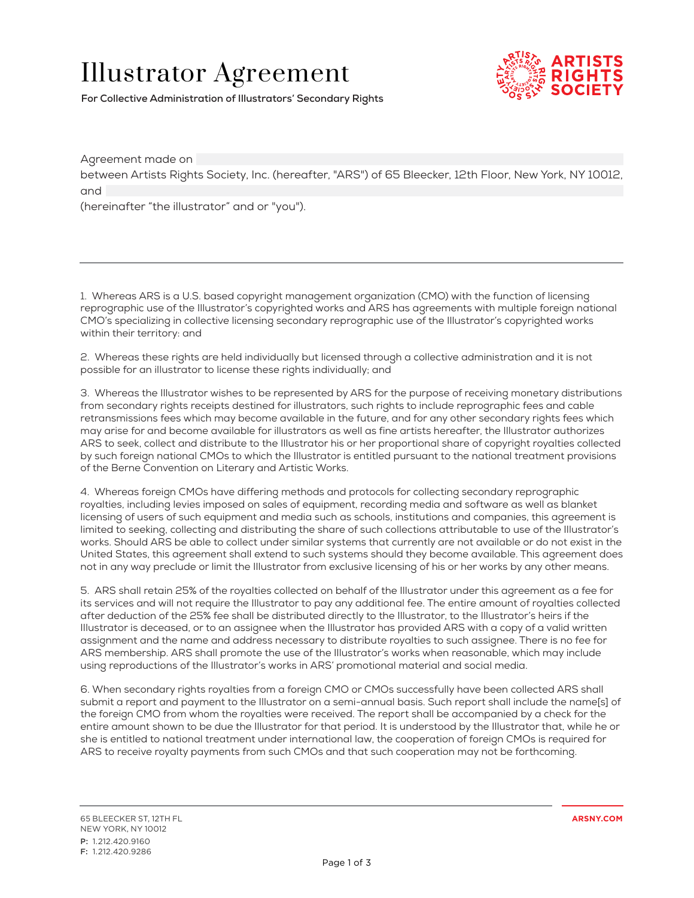## Illustrator Agreement



**For Collective Administration of Illustrators' Secondary Rights**

Agreement made on between Artists Rights Society, Inc. (hereafter, "ARS") of 65 Bleecker, 12th Floor, New York, NY 10012, and (hereinafter "the illustrator" and or "you").

1. Whereas ARS is a U.S. based copyright management organization (CMO) with the function of licensing reprographic use of the Illustrator's copyrighted works and ARS has agreements with multiple foreign national CMO's specializing in collective licensing secondary reprographic use of the Illustrator's copyrighted works within their territory: and

2. Whereas these rights are held individually but licensed through a collective administration and it is not possible for an illustrator to license these rights individually; and

3. Whereas the Illustrator wishes to be represented by ARS for the purpose of receiving monetary distributions from secondary rights receipts destined for illustrators, such rights to include reprographic fees and cable retransmissions fees which may become available in the future, and for any other secondary rights fees which may arise for and become available for illustrators as well as fine artists hereafter, the Illustrator authorizes ARS to seek, collect and distribute to the Illustrator his or her proportional share of copyright royalties collected by such foreign national CMOs to which the Illustrator is entitled pursuant to the national treatment provisions of the Berne Convention on Literary and Artistic Works.

4. Whereas foreign CMOs have differing methods and protocols for collecting secondary reprographic royalties, including levies imposed on sales of equipment, recording media and software as well as blanket licensing of users of such equipment and media such as schools, institutions and companies, this agreement is limited to seeking, collecting and distributing the share of such collections attributable to use of the Illustrator's works. Should ARS be able to collect under similar systems that currently are not available or do not exist in the United States, this agreement shall extend to such systems should they become available. This agreement does not in any way preclude or limit the Illustrator from exclusive licensing of his or her works by any other means.

5. ARS shall retain 25% of the royalties collected on behalf of the Illustrator under this agreement as a fee for its services and will not require the Illustrator to pay any additional fee. The entire amount of royalties collected after deduction of the 25% fee shall be distributed directly to the Illustrator, to the Illustrator's heirs if the Illustrator is deceased, or to an assignee when the Illustrator has provided ARS with a copy of a valid written assignment and the name and address necessary to distribute royalties to such assignee. There is no fee for ARS membership. ARS shall promote the use of the Illustrator's works when reasonable, which may include using reproductions of the Illustrator's works in ARS' promotional material and social media.

6. When secondary rights royalties from a foreign CMO or CMOs successfully have been collected ARS shall submit a report and payment to the Illustrator on a semi-annual basis. Such report shall include the name[s] of the foreign CMO from whom the royalties were received. The report shall be accompanied by a check for the entire amount shown to be due the Illustrator for that period. It is understood by the Illustrator that, while he or she is entitled to national treatment under international law, the cooperation of foreign CMOs is required for ARS to receive royalty payments from such CMOs and that such cooperation may not be forthcoming.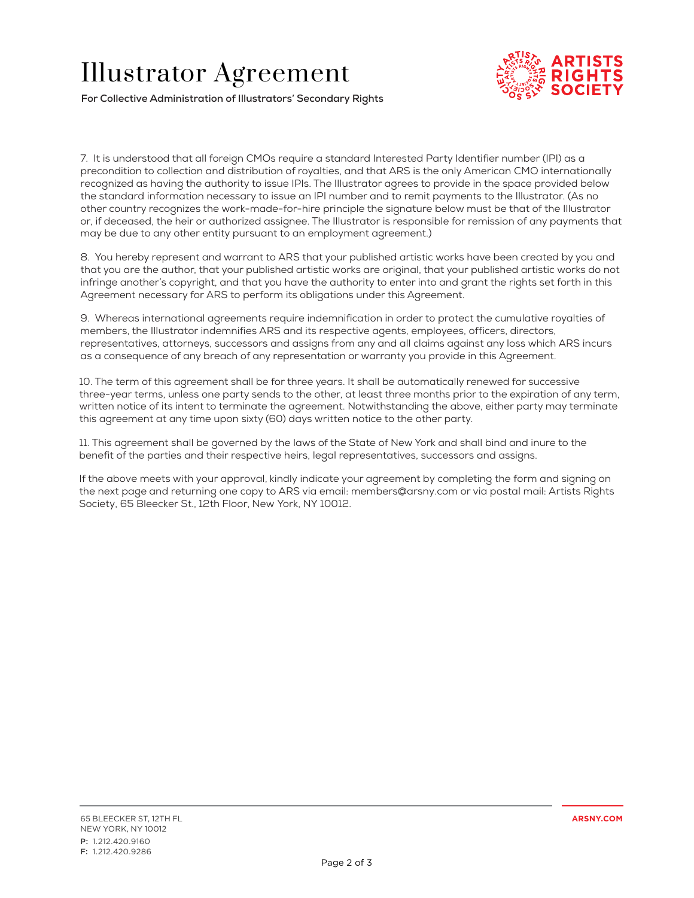## Illustrator Agreement



**For Collective Administration of Illustrators' Secondary Rights**

7. It is understood that all foreign CMOs require a standard Interested Party Identifier number (IPI) as a precondition to collection and distribution of royalties, and that ARS is the only American CMO internationally recognized as having the authority to issue IPIs. The Illustrator agrees to provide in the space provided below the standard information necessary to issue an IPI number and to remit payments to the Illustrator. (As no other country recognizes the work-made-for-hire principle the signature below must be that of the Illustrator or, if deceased, the heir or authorized assignee. The Illustrator is responsible for remission of any payments that may be due to any other entity pursuant to an employment agreement.)

8. You hereby represent and warrant to ARS that your published artistic works have been created by you and that you are the author, that your published artistic works are original, that your published artistic works do not infringe another's copyright, and that you have the authority to enter into and grant the rights set forth in this Agreement necessary for ARS to perform its obligations under this Agreement.

9. Whereas international agreements require indemnification in order to protect the cumulative royalties of members, the Illustrator indemnifies ARS and its respective agents, employees, officers, directors, representatives, attorneys, successors and assigns from any and all claims against any loss which ARS incurs as a consequence of any breach of any representation or warranty you provide in this Agreement.

10. The term of this agreement shall be for three years. It shall be automatically renewed for successive three-year terms, unless one party sends to the other, at least three months prior to the expiration of any term, written notice of its intent to terminate the agreement. Notwithstanding the above, either party may terminate this agreement at any time upon sixty (60) days written notice to the other party.

11. This agreement shall be governed by the laws of the State of New York and shall bind and inure to the benefit of the parties and their respective heirs, legal representatives, successors and assigns.

If the above meets with your approval, kindly indicate your agreement by completing the form and signing on the next page and returning one copy to ARS via email: members@arsny.com or via postal mail: Artists Rights Society, 65 Bleecker St., 12th Floor, New York, NY 10012.